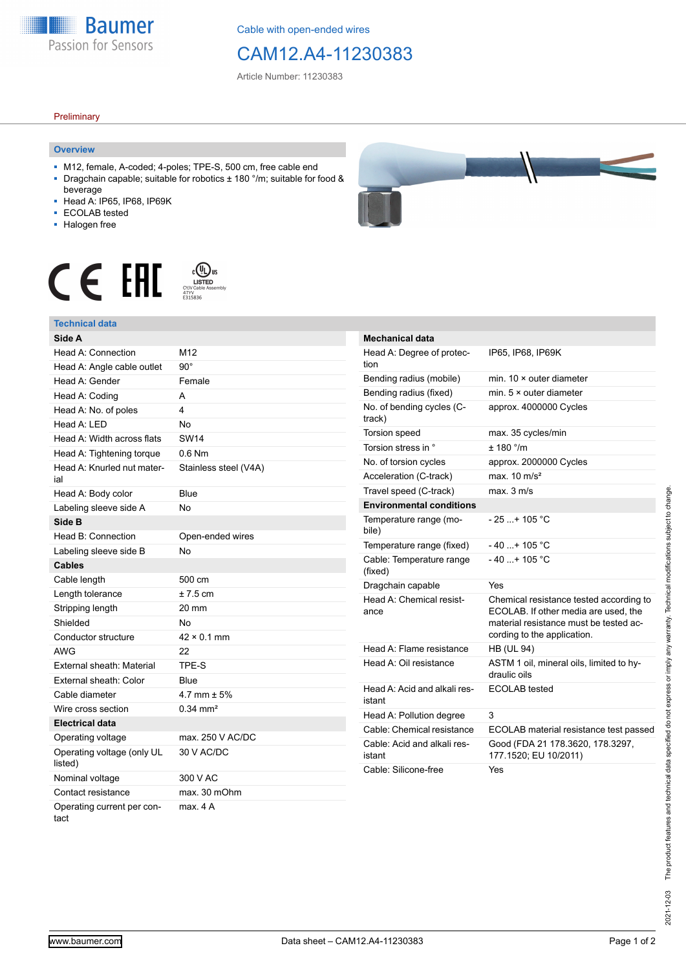**Baumer** Passion for Sensors

Cable with open-ended wires

## CAM12.A4-11230383

Article Number: 11230383

### **Preliminary**

#### **Overview**

- M12, female, A-coded; 4-poles; TPE-S, 500 cm, free cable end Dragchain capable; suitable for robotics  $\pm$  180 °/m; suitable for food &
- beverage
- Head A: IP65, IP68, IP69K
- ECOLAB tested
- Halogen free

# $\displaystyle \mathop{\mathsf{C}}\limits_{\substack{\mathsf{C} \text{VJV} \text{Cable Assen}\ \atop 47\text{VV}}} \mathop{\mathsf{LISTED}}\limits_{\substack{\mathsf{C} \text{VJV Cable Assen}\ \atop 5315836}}$ CE EHI



| <b>Mechanical data</b>                 |                                                                                                                                                          |
|----------------------------------------|----------------------------------------------------------------------------------------------------------------------------------------------------------|
| Head A: Degree of protec-<br>tion      | IP65, IP68, IP69K                                                                                                                                        |
| Bending radius (mobile)                | min. $10 \times$ outer diameter                                                                                                                          |
| Bending radius (fixed)                 | min. $5 \times$ outer diameter                                                                                                                           |
| No. of bending cycles (C-<br>track)    | approx. 4000000 Cycles                                                                                                                                   |
| <b>Torsion speed</b>                   | max. 35 cycles/min                                                                                                                                       |
| Torsion stress in °                    | $+ 180$ °/m                                                                                                                                              |
| No. of torsion cycles                  | approx. 2000000 Cycles                                                                                                                                   |
| Acceleration (C-track)                 | max. $10 \text{ m/s}^2$                                                                                                                                  |
| Travel speed (C-track)                 | max. 3 m/s                                                                                                                                               |
| <b>Environmental conditions</b>        |                                                                                                                                                          |
| Temperature range (mo-<br>bile)        | $-25+105 °C$                                                                                                                                             |
| Temperature range (fixed)              | $-40+105 °C$                                                                                                                                             |
| Cable: Temperature range<br>(fixed)    | $-40+105 °C$                                                                                                                                             |
| Dragchain capable                      | Yes                                                                                                                                                      |
| Head A: Chemical resist-<br>ance       | Chemical resistance tested according to<br>ECOLAB. If other media are used, the<br>material resistance must be tested ac-<br>cording to the application. |
| Head A: Flame resistance               | <b>HB (UL 94)</b>                                                                                                                                        |
| Head A: Oil resistance                 | ASTM 1 oil, mineral oils, limited to hy-<br>draulic oils                                                                                                 |
| Head A: Acid and alkali res-<br>istant | ECOLAB tested                                                                                                                                            |
| Head A: Pollution degree               | 3                                                                                                                                                        |
| Cable: Chemical resistance             | ECOLAB material resistance test passed                                                                                                                   |
| Cable: Acid and alkali res-<br>istant  | Good (FDA 21 178.3620, 178.3297,<br>177.1520; EU 10/2011)                                                                                                |
| Cable: Silicone-free                   | Yes                                                                                                                                                      |